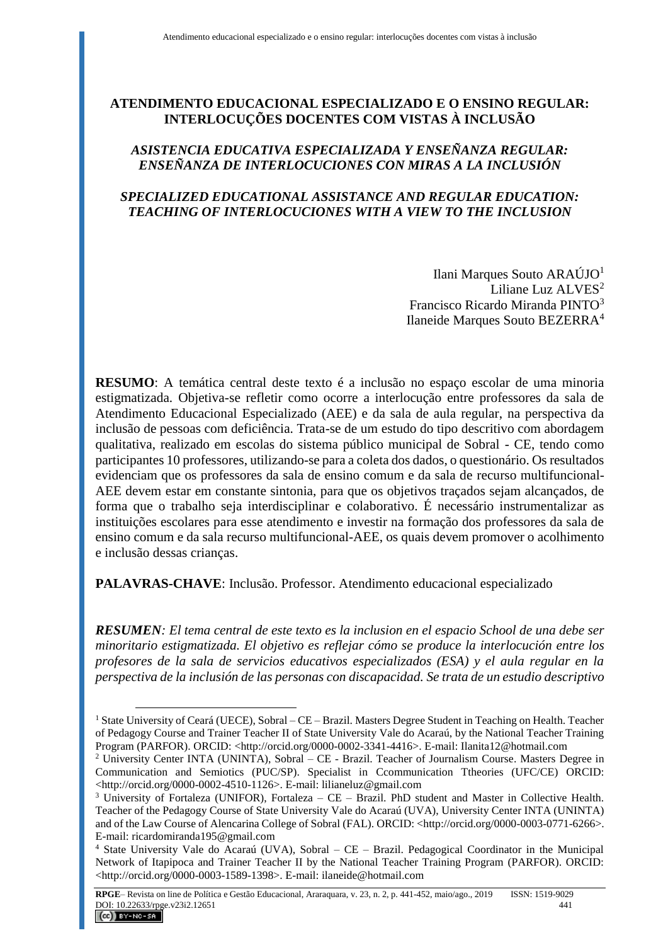# **ATENDIMENTO EDUCACIONAL ESPECIALIZADO E O ENSINO REGULAR: INTERLOCUÇÕES DOCENTES COM VISTAS À INCLUSÃO**

# *ASISTENCIA EDUCATIVA ESPECIALIZADA Y ENSEÑANZA REGULAR: ENSEÑANZA DE INTERLOCUCIONES CON MIRAS A LA INCLUSIÓN*

## *SPECIALIZED EDUCATIONAL ASSISTANCE AND REGULAR EDUCATION: TEACHING OF INTERLOCUCIONES WITH A VIEW TO THE INCLUSION*

Ilani Marques Souto ARAÚJO<sup>1</sup> Liliane Luz ALVES<sup>2</sup> Francisco Ricardo Miranda PINTO<sup>3</sup> Ilaneide Marques Souto BEZERRA<sup>4</sup>

**RESUMO**: A temática central deste texto é a inclusão no espaço escolar de uma minoria estigmatizada. Objetiva-se refletir como ocorre a interlocução entre professores da sala de Atendimento Educacional Especializado (AEE) e da sala de aula regular, na perspectiva da inclusão de pessoas com deficiência. Trata-se de um estudo do tipo descritivo com abordagem qualitativa, realizado em escolas do sistema público municipal de Sobral - CE, tendo como participantes 10 professores, utilizando-se para a coleta dos dados, o questionário. Os resultados evidenciam que os professores da sala de ensino comum e da sala de recurso multifuncional-AEE devem estar em constante sintonia, para que os objetivos traçados sejam alcançados, de forma que o trabalho seja interdisciplinar e colaborativo. É necessário instrumentalizar as instituições escolares para esse atendimento e investir na formação dos professores da sala de ensino comum e da sala recurso multifuncional-AEE, os quais devem promover o acolhimento e inclusão dessas crianças.

**PALAVRAS-CHAVE**: Inclusão. Professor. Atendimento educacional especializado

 $\overline{a}$ 

*RESUMEN: El tema central de este texto es la inclusion en el espacio School de una debe ser minoritario estigmatizada. El objetivo es reflejar cómo se produce la interlocución entre los profesores de la sala de servicios educativos especializados (ESA) y el aula regular en la perspectiva de la inclusión de las personas con discapacidad. Se trata de un estudio descriptivo* 

<sup>&</sup>lt;sup>1</sup> State University of Ceará (UECE), Sobral – CE – Brazil. Masters Degree Student in Teaching on Health. Teacher of Pedagogy Course and Trainer Teacher II of State University Vale do Acaraú, by the National Teacher Training Program (PARFOR). ORCID: <http://orcid.org/0000-0002-3341-4416>[. E-mail:](mailto:E-mail) Ilanita12@hotmail.com

<sup>&</sup>lt;sup>2</sup> University Center INTA (UNINTA), Sobral – CE - Brazil. Teacher of Journalism Course. Masters Degree in Communication and Semiotics (PUC/SP). Specialist in Ccommunication Ttheories (UFC/CE) ORCID: <http://orcid.org/0000-0002-4510-1126>. E-mail: lilianeluz@gmail.com

 $3$  University of Fortaleza (UNIFOR), Fortaleza – CE – Brazil. PhD student and Master in Collective Health. Teacher of the Pedagogy Course of State University Vale do Acaraú (UVA), University Center INTA (UNINTA) and of the Law Course of Alencarina College of Sobral (FAL). ORCID: <http://orcid.org/0000-0003-0771-6266>. E-mail: ricardomiranda195@gmail.com

<sup>4</sup> State University Vale do Acaraú (UVA), Sobral – CE – Brazil. Pedagogical Coordinator in the Municipal Network of Itapipoca and Trainer Teacher II by the National Teacher Training Program (PARFOR). ORCID: <http://orcid.org/0000-0003-1589-1398>. E-mail: ilaneide@hotmail.com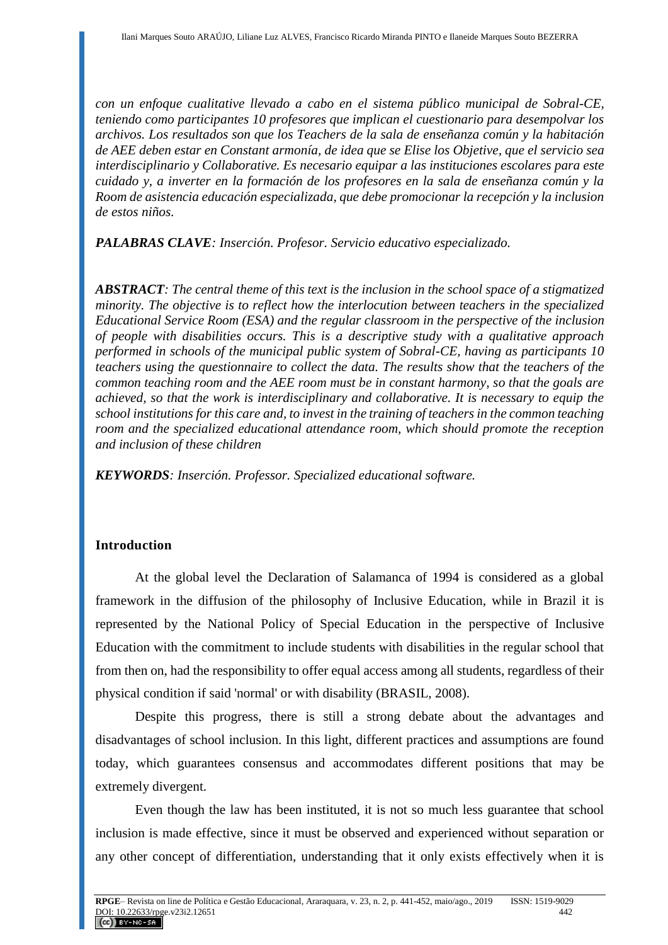*con un enfoque cualitative llevado a cabo en el sistema público municipal de Sobral-CE, teniendo como participantes 10 profesores que implican el cuestionario para desempolvar los archivos. Los resultados son que los Teachers de la sala de enseñanza común y la habitación de AEE deben estar en Constant armonía, de idea que se Elise los Objetive, que el servicio sea interdisciplinario y Collaborative. Es necesario equipar a las instituciones escolares para este cuidado y, a inverter en la formación de los profesores en la sala de enseñanza común y la Room de asistencia educación especializada, que debe promocionar la recepción y la inclusion de estos niños.* 

*PALABRAS CLAVE: Inserción. Profesor. Servicio educativo especializado.*

*ABSTRACT: The central theme of this text is the inclusion in the school space of a stigmatized minority. The objective is to reflect how the interlocution between teachers in the specialized Educational Service Room (ESA) and the regular classroom in the perspective of the inclusion of people with disabilities occurs. This is a descriptive study with a qualitative approach performed in schools of the municipal public system of Sobral-CE, having as participants 10 teachers using the questionnaire to collect the data. The results show that the teachers of the common teaching room and the AEE room must be in constant harmony, so that the goals are achieved, so that the work is interdisciplinary and collaborative. It is necessary to equip the school institutions for this care and, to invest in the training of teachers in the common teaching room and the specialized educational attendance room, which should promote the reception and inclusion of these children*

*KEYWORDS: Inserción. Professor. Specialized educational software.*

# **Introduction**

At the global level the Declaration of Salamanca of 1994 is considered as a global framework in the diffusion of the philosophy of Inclusive Education, while in Brazil it is represented by the National Policy of Special Education in the perspective of Inclusive Education with the commitment to include students with disabilities in the regular school that from then on, had the responsibility to offer equal access among all students, regardless of their physical condition if said 'normal' or with disability (BRASIL, 2008).

Despite this progress, there is still a strong debate about the advantages and disadvantages of school inclusion. In this light, different practices and assumptions are found today, which guarantees consensus and accommodates different positions that may be extremely divergent.

Even though the law has been instituted, it is not so much less guarantee that school inclusion is made effective, since it must be observed and experienced without separation or any other concept of differentiation, understanding that it only exists effectively when it is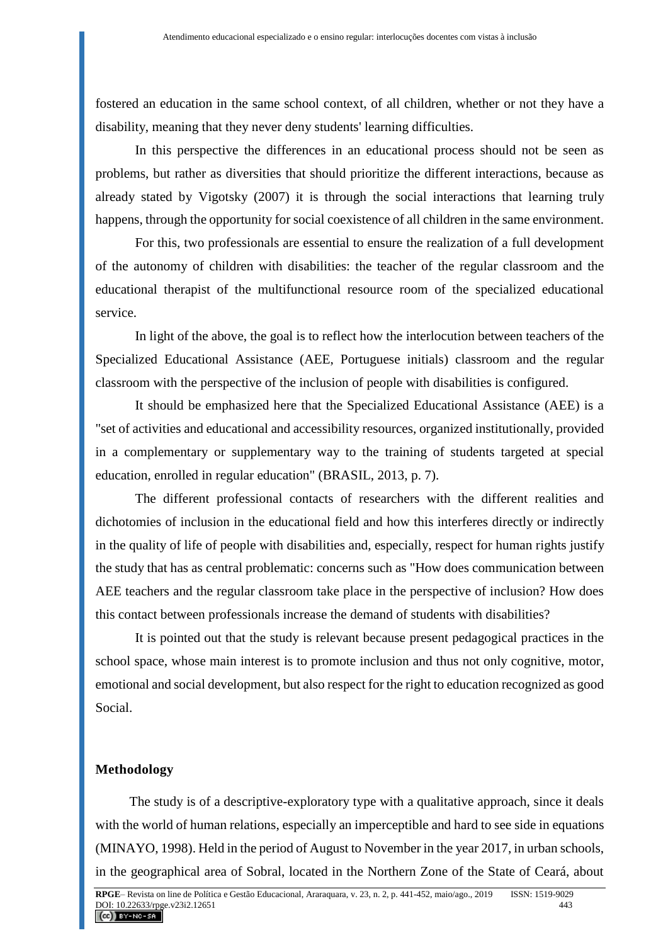fostered an education in the same school context, of all children, whether or not they have a disability, meaning that they never deny students' learning difficulties.

In this perspective the differences in an educational process should not be seen as problems, but rather as diversities that should prioritize the different interactions, because as already stated by Vigotsky (2007) it is through the social interactions that learning truly happens, through the opportunity for social coexistence of all children in the same environment.

For this, two professionals are essential to ensure the realization of a full development of the autonomy of children with disabilities: the teacher of the regular classroom and the educational therapist of the multifunctional resource room of the specialized educational service.

In light of the above, the goal is to reflect how the interlocution between teachers of the Specialized Educational Assistance (AEE, Portuguese initials) classroom and the regular classroom with the perspective of the inclusion of people with disabilities is configured.

It should be emphasized here that the Specialized Educational Assistance (AEE) is a "set of activities and educational and accessibility resources, organized institutionally, provided in a complementary or supplementary way to the training of students targeted at special education, enrolled in regular education" (BRASIL, 2013, p. 7).

The different professional contacts of researchers with the different realities and dichotomies of inclusion in the educational field and how this interferes directly or indirectly in the quality of life of people with disabilities and, especially, respect for human rights justify the study that has as central problematic: concerns such as "How does communication between AEE teachers and the regular classroom take place in the perspective of inclusion? How does this contact between professionals increase the demand of students with disabilities?

It is pointed out that the study is relevant because present pedagogical practices in the school space, whose main interest is to promote inclusion and thus not only cognitive, motor, emotional and social development, but also respect for the right to education recognized as good Social.

#### **Methodology**

The study is of a descriptive-exploratory type with a qualitative approach, since it deals with the world of human relations, especially an imperceptible and hard to see side in equations (MINAYO, 1998). Held in the period of August to November in the year 2017, in urban schools, in the geographical area of Sobral, located in the Northern Zone of the State of Ceará, about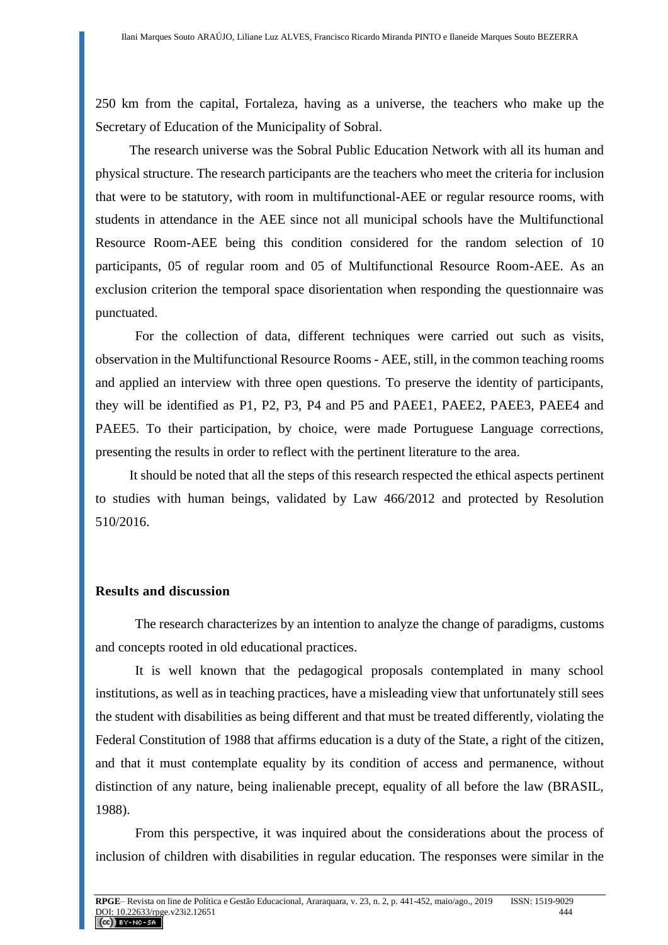250 km from the capital, Fortaleza, having as a universe, the teachers who make up the Secretary of Education of the Municipality of Sobral.

The research universe was the Sobral Public Education Network with all its human and physical structure. The research participants are the teachers who meet the criteria for inclusion that were to be statutory, with room in multifunctional-AEE or regular resource rooms, with students in attendance in the AEE since not all municipal schools have the Multifunctional Resource Room-AEE being this condition considered for the random selection of 10 participants, 05 of regular room and 05 of Multifunctional Resource Room-AEE. As an exclusion criterion the temporal space disorientation when responding the questionnaire was punctuated.

For the collection of data, different techniques were carried out such as visits, observation in the Multifunctional Resource Rooms - AEE, still, in the common teaching rooms and applied an interview with three open questions. To preserve the identity of participants, they will be identified as P1, P2, P3, P4 and P5 and PAEE1, PAEE2, PAEE3, PAEE4 and PAEE5. To their participation, by choice, were made Portuguese Language corrections, presenting the results in order to reflect with the pertinent literature to the area.

It should be noted that all the steps of this research respected the ethical aspects pertinent to studies with human beings, validated by Law 466/2012 and protected by Resolution 510/2016.

#### **Results and discussion**

The research characterizes by an intention to analyze the change of paradigms, customs and concepts rooted in old educational practices.

It is well known that the pedagogical proposals contemplated in many school institutions, as well as in teaching practices, have a misleading view that unfortunately still sees the student with disabilities as being different and that must be treated differently, violating the Federal Constitution of 1988 that affirms education is a duty of the State, a right of the citizen, and that it must contemplate equality by its condition of access and permanence, without distinction of any nature, being inalienable precept, equality of all before the law (BRASIL, 1988).

From this perspective, it was inquired about the considerations about the process of inclusion of children with disabilities in regular education. The responses were similar in the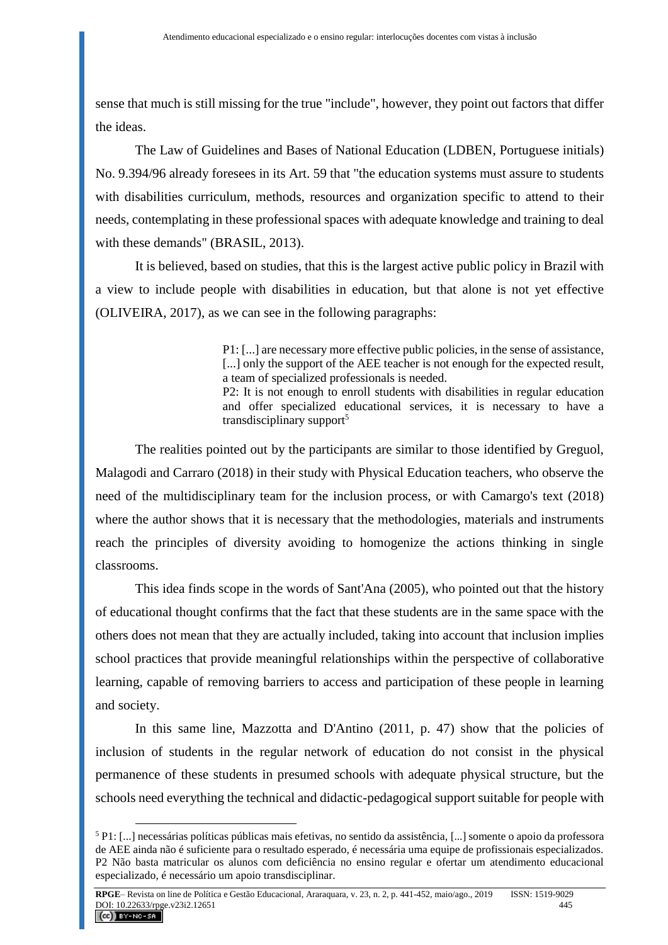sense that much is still missing for the true "include", however, they point out factors that differ the ideas.

The Law of Guidelines and Bases of National Education (LDBEN, Portuguese initials) No. 9.394/96 already foresees in its Art. 59 that "the education systems must assure to students with disabilities curriculum, methods, resources and organization specific to attend to their needs, contemplating in these professional spaces with adequate knowledge and training to deal with these demands" (BRASIL, 2013).

It is believed, based on studies, that this is the largest active public policy in Brazil with a view to include people with disabilities in education, but that alone is not yet effective (OLIVEIRA, 2017), as we can see in the following paragraphs:

> P1: [...] are necessary more effective public policies, in the sense of assistance, [...] only the support of the AEE teacher is not enough for the expected result, a team of specialized professionals is needed. P2: It is not enough to enroll students with disabilities in regular education and offer specialized educational services, it is necessary to have a transdisciplinary support<sup>5</sup>

The realities pointed out by the participants are similar to those identified by Greguol, Malagodi and Carraro (2018) in their study with Physical Education teachers, who observe the need of the multidisciplinary team for the inclusion process, or with Camargo's text (2018) where the author shows that it is necessary that the methodologies, materials and instruments reach the principles of diversity avoiding to homogenize the actions thinking in single classrooms.

This idea finds scope in the words of Sant'Ana (2005), who pointed out that the history of educational thought confirms that the fact that these students are in the same space with the others does not mean that they are actually included, taking into account that inclusion implies school practices that provide meaningful relationships within the perspective of collaborative learning, capable of removing barriers to access and participation of these people in learning and society.

In this same line, Mazzotta and D'Antino (2011, p. 47) show that the policies of inclusion of students in the regular network of education do not consist in the physical permanence of these students in presumed schools with adequate physical structure, but the schools need everything the technical and didactic-pedagogical support suitable for people with

<sup>5</sup> P1: [...] necessárias políticas públicas mais efetivas, no sentido da assistência, [...] somente o apoio da professora de AEE ainda não é suficiente para o resultado esperado, é necessária uma equipe de profissionais especializados. P2 Não basta matricular os alunos com deficiência no ensino regular e ofertar um atendimento educacional especializado, é necessário um apoio transdisciplinar.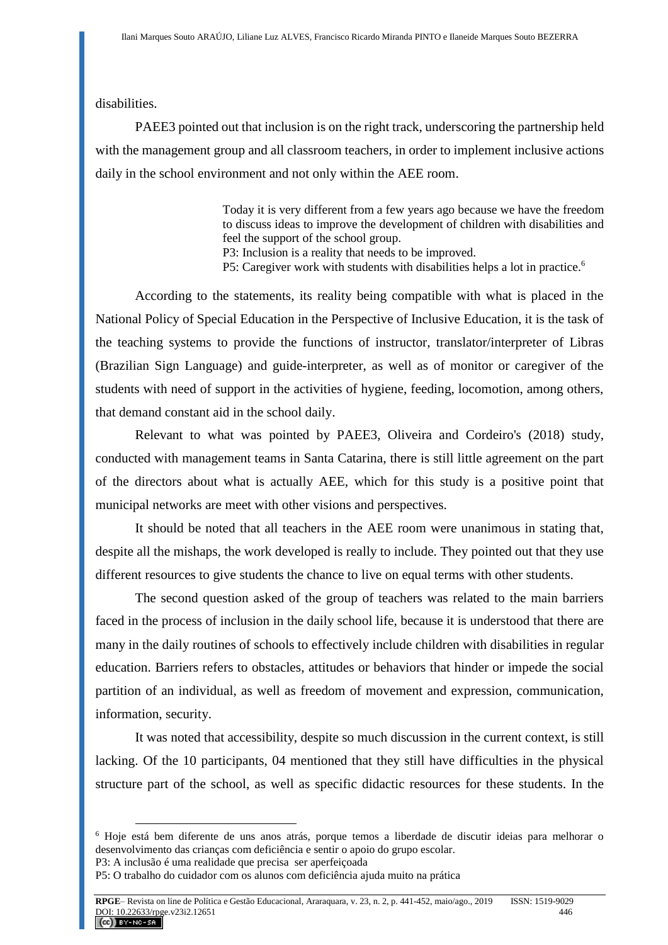disabilities.

PAEE3 pointed out that inclusion is on the right track, underscoring the partnership held with the management group and all classroom teachers, in order to implement inclusive actions daily in the school environment and not only within the AEE room.

> Today it is very different from a few years ago because we have the freedom to discuss ideas to improve the development of children with disabilities and feel the support of the school group.

P3: Inclusion is a reality that needs to be improved.

P5: Caregiver work with students with disabilities helps a lot in practice.<sup>6</sup>

According to the statements, its reality being compatible with what is placed in the National Policy of Special Education in the Perspective of Inclusive Education, it is the task of the teaching systems to provide the functions of instructor, translator/interpreter of Libras (Brazilian Sign Language) and guide-interpreter, as well as of monitor or caregiver of the students with need of support in the activities of hygiene, feeding, locomotion, among others, that demand constant aid in the school daily.

Relevant to what was pointed by PAEE3, Oliveira and Cordeiro's (2018) study, conducted with management teams in Santa Catarina, there is still little agreement on the part of the directors about what is actually AEE, which for this study is a positive point that municipal networks are meet with other visions and perspectives.

It should be noted that all teachers in the AEE room were unanimous in stating that, despite all the mishaps, the work developed is really to include. They pointed out that they use different resources to give students the chance to live on equal terms with other students.

The second question asked of the group of teachers was related to the main barriers faced in the process of inclusion in the daily school life, because it is understood that there are many in the daily routines of schools to effectively include children with disabilities in regular education. Barriers refers to obstacles, attitudes or behaviors that hinder or impede the social partition of an individual, as well as freedom of movement and expression, communication, information, security.

It was noted that accessibility, despite so much discussion in the current context, is still lacking. Of the 10 participants, 04 mentioned that they still have difficulties in the physical structure part of the school, as well as specific didactic resources for these students. In the

<sup>6</sup> Hoje está bem diferente de uns anos atrás, porque temos a liberdade de discutir ideias para melhorar o desenvolvimento das crianças com deficiência e sentir o apoio do grupo escolar.

P3: A inclusão é uma realidade que precisa ser aperfeiçoada

P5: O trabalho do cuidador com os alunos com deficiência ajuda muito na prática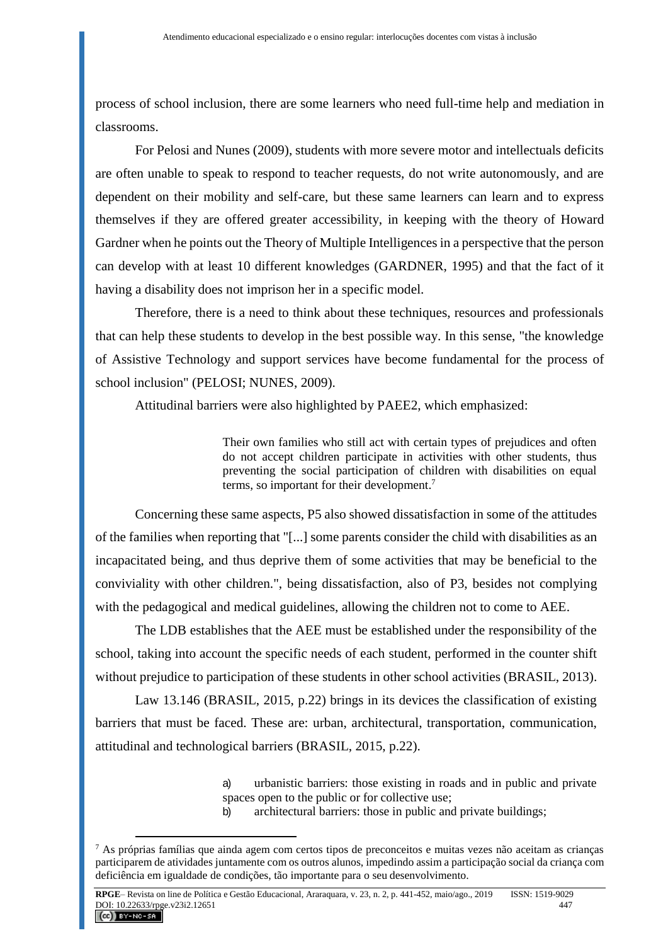process of school inclusion, there are some learners who need full-time help and mediation in classrooms.

For Pelosi and Nunes (2009), students with more severe motor and intellectuals deficits are often unable to speak to respond to teacher requests, do not write autonomously, and are dependent on their mobility and self-care, but these same learners can learn and to express themselves if they are offered greater accessibility, in keeping with the theory of Howard Gardner when he points out the Theory of Multiple Intelligences in a perspective that the person can develop with at least 10 different knowledges (GARDNER, 1995) and that the fact of it having a disability does not imprison her in a specific model.

Therefore, there is a need to think about these techniques, resources and professionals that can help these students to develop in the best possible way. In this sense, "the knowledge of Assistive Technology and support services have become fundamental for the process of school inclusion" (PELOSI; NUNES, 2009).

Attitudinal barriers were also highlighted by PAEE2, which emphasized:

Their own families who still act with certain types of prejudices and often do not accept children participate in activities with other students, thus preventing the social participation of children with disabilities on equal terms, so important for their development. 7

Concerning these same aspects, P5 also showed dissatisfaction in some of the attitudes of the families when reporting that "[...] some parents consider the child with disabilities as an incapacitated being, and thus deprive them of some activities that may be beneficial to the conviviality with other children.", being dissatisfaction, also of P3, besides not complying with the pedagogical and medical guidelines, allowing the children not to come to AEE.

The LDB establishes that the AEE must be established under the responsibility of the school, taking into account the specific needs of each student, performed in the counter shift without prejudice to participation of these students in other school activities (BRASIL, 2013).

Law 13.146 (BRASIL, 2015, p.22) brings in its devices the classification of existing barriers that must be faced. These are: urban, architectural, transportation, communication, attitudinal and technological barriers (BRASIL, 2015, p.22).

> a) urbanistic barriers: those existing in roads and in public and private spaces open to the public or for collective use;

b) architectural barriers: those in public and private buildings;

 $7$  As próprias famílias que ainda agem com certos tipos de preconceitos e muitas vezes não aceitam as crianças participarem de atividades juntamente com os outros alunos, impedindo assim a participação social da criança com deficiência em igualdade de condições, tão importante para o seu desenvolvimento.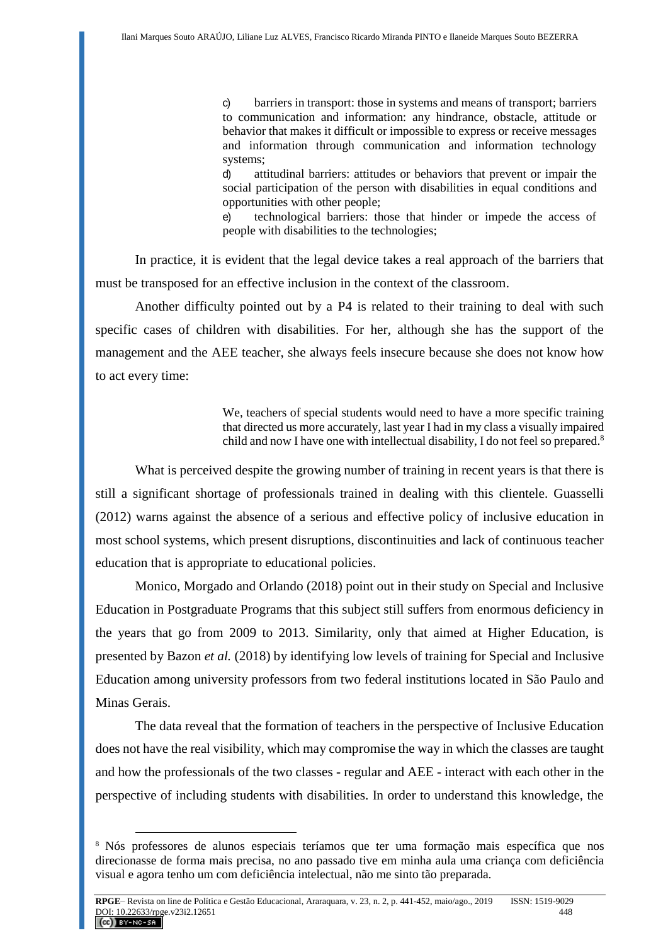c) barriers in transport: those in systems and means of transport; barriers to communication and information: any hindrance, obstacle, attitude or behavior that makes it difficult or impossible to express or receive messages and information through communication and information technology systems;

d) attitudinal barriers: attitudes or behaviors that prevent or impair the social participation of the person with disabilities in equal conditions and opportunities with other people;

e) technological barriers: those that hinder or impede the access of people with disabilities to the technologies;

In practice, it is evident that the legal device takes a real approach of the barriers that must be transposed for an effective inclusion in the context of the classroom.

Another difficulty pointed out by a P4 is related to their training to deal with such specific cases of children with disabilities. For her, although she has the support of the management and the AEE teacher, she always feels insecure because she does not know how to act every time:

> We, teachers of special students would need to have a more specific training that directed us more accurately, last year I had in my class a visually impaired child and now I have one with intellectual disability, I do not feel so prepared.<sup>8</sup>

What is perceived despite the growing number of training in recent years is that there is still a significant shortage of professionals trained in dealing with this clientele. Guasselli (2012) warns against the absence of a serious and effective policy of inclusive education in most school systems, which present disruptions, discontinuities and lack of continuous teacher education that is appropriate to educational policies.

Monico, Morgado and Orlando (2018) point out in their study on Special and Inclusive Education in Postgraduate Programs that this subject still suffers from enormous deficiency in the years that go from 2009 to 2013. Similarity, only that aimed at Higher Education, is presented by Bazon *et al.* (2018) by identifying low levels of training for Special and Inclusive Education among university professors from two federal institutions located in São Paulo and Minas Gerais.

The data reveal that the formation of teachers in the perspective of Inclusive Education does not have the real visibility, which may compromise the way in which the classes are taught and how the professionals of the two classes - regular and AEE - interact with each other in the perspective of including students with disabilities. In order to understand this knowledge, the

<sup>8</sup> Nós professores de alunos especiais teríamos que ter uma formação mais específica que nos direcionasse de forma mais precisa, no ano passado tive em minha aula uma criança com deficiência visual e agora tenho um com deficiência intelectual, não me sinto tão preparada.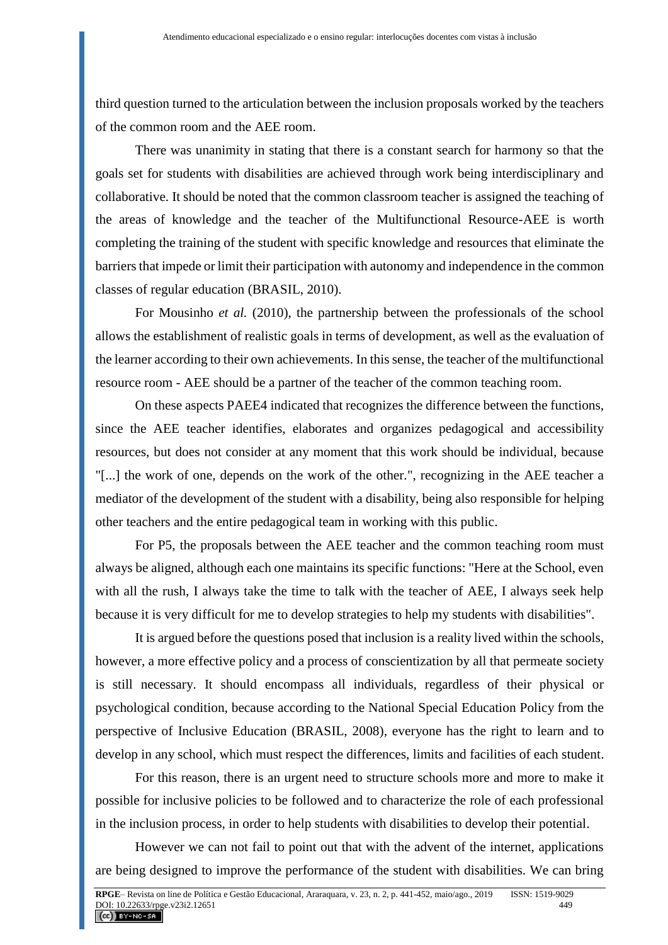third question turned to the articulation between the inclusion proposals worked by the teachers of the common room and the AEE room.

There was unanimity in stating that there is a constant search for harmony so that the goals set for students with disabilities are achieved through work being interdisciplinary and collaborative. It should be noted that the common classroom teacher is assigned the teaching of the areas of knowledge and the teacher of the Multifunctional Resource-AEE is worth completing the training of the student with specific knowledge and resources that eliminate the barriers that impede or limit their participation with autonomy and independence in the common classes of regular education (BRASIL, 2010).

For Mousinho *et al.* (2010), the partnership between the professionals of the school allows the establishment of realistic goals in terms of development, as well as the evaluation of the learner according to their own achievements. In this sense, the teacher of the multifunctional resource room - AEE should be a partner of the teacher of the common teaching room.

On these aspects PAEE4 indicated that recognizes the difference between the functions, since the AEE teacher identifies, elaborates and organizes pedagogical and accessibility resources, but does not consider at any moment that this work should be individual, because "[...] the work of one, depends on the work of the other.", recognizing in the AEE teacher a mediator of the development of the student with a disability, being also responsible for helping other teachers and the entire pedagogical team in working with this public.

For P5, the proposals between the AEE teacher and the common teaching room must always be aligned, although each one maintains its specific functions: "Here at the School, even with all the rush, I always take the time to talk with the teacher of AEE, I always seek help because it is very difficult for me to develop strategies to help my students with disabilities".

It is argued before the questions posed that inclusion is a reality lived within the schools, however, a more effective policy and a process of conscientization by all that permeate society is still necessary. It should encompass all individuals, regardless of their physical or psychological condition, because according to the National Special Education Policy from the perspective of Inclusive Education (BRASIL, 2008), everyone has the right to learn and to develop in any school, which must respect the differences, limits and facilities of each student.

For this reason, there is an urgent need to structure schools more and more to make it possible for inclusive policies to be followed and to characterize the role of each professional in the inclusion process, in order to help students with disabilities to develop their potential.

However we can not fail to point out that with the advent of the internet, applications are being designed to improve the performance of the student with disabilities. We can bring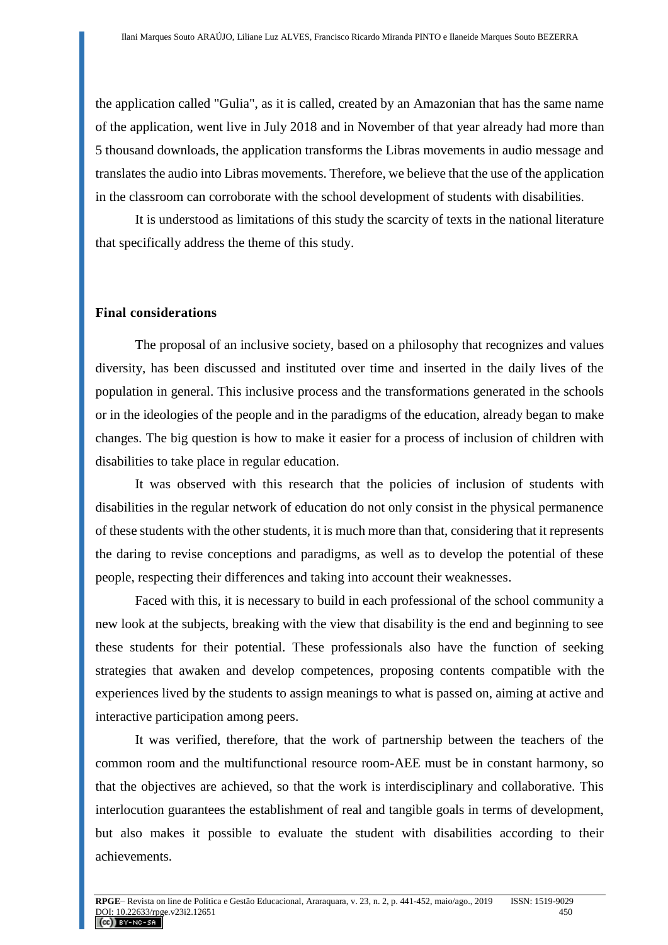the application called "Gulia", as it is called, created by an Amazonian that has the same name of the application, went live in July 2018 and in November of that year already had more than 5 thousand downloads, the application transforms the Libras movements in audio message and translates the audio into Libras movements. Therefore, we believe that the use of the application in the classroom can corroborate with the school development of students with disabilities.

It is understood as limitations of this study the scarcity of texts in the national literature that specifically address the theme of this study.

### **Final considerations**

The proposal of an inclusive society, based on a philosophy that recognizes and values diversity, has been discussed and instituted over time and inserted in the daily lives of the population in general. This inclusive process and the transformations generated in the schools or in the ideologies of the people and in the paradigms of the education, already began to make changes. The big question is how to make it easier for a process of inclusion of children with disabilities to take place in regular education.

It was observed with this research that the policies of inclusion of students with disabilities in the regular network of education do not only consist in the physical permanence of these students with the other students, it is much more than that, considering that it represents the daring to revise conceptions and paradigms, as well as to develop the potential of these people, respecting their differences and taking into account their weaknesses.

Faced with this, it is necessary to build in each professional of the school community a new look at the subjects, breaking with the view that disability is the end and beginning to see these students for their potential. These professionals also have the function of seeking strategies that awaken and develop competences, proposing contents compatible with the experiences lived by the students to assign meanings to what is passed on, aiming at active and interactive participation among peers.

It was verified, therefore, that the work of partnership between the teachers of the common room and the multifunctional resource room-AEE must be in constant harmony, so that the objectives are achieved, so that the work is interdisciplinary and collaborative. This interlocution guarantees the establishment of real and tangible goals in terms of development, but also makes it possible to evaluate the student with disabilities according to their achievements.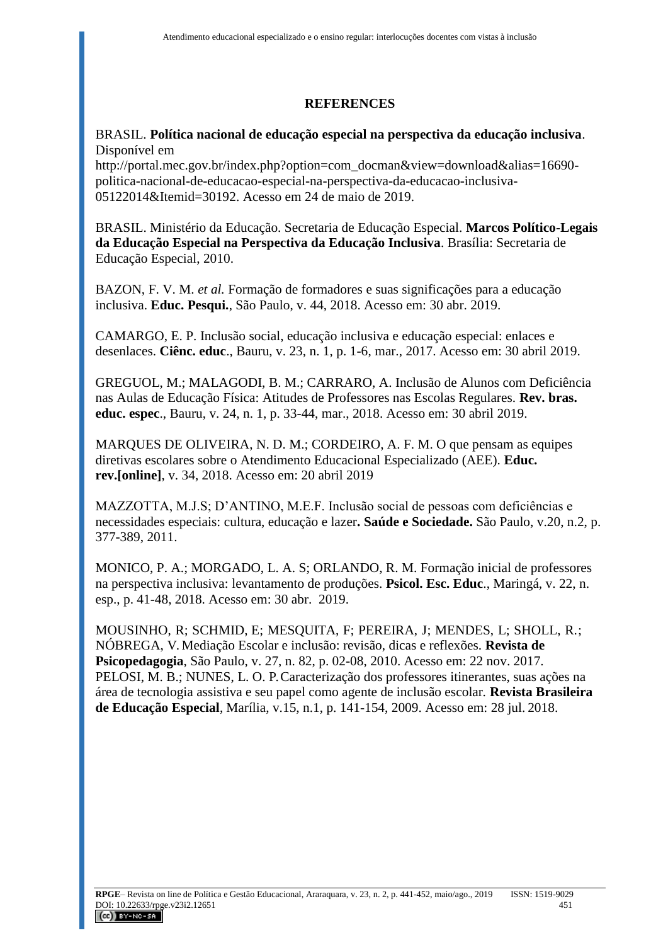# **REFERENCES**

### BRASIL. **Política nacional de educação especial na perspectiva da educação inclusiva**. Disponível em

[http://portal.mec.gov.br/index.php?option=com\\_docman&view=download&alias=16690](http://portal.mec.gov.br/index.php?option=com_docman&view=download&alias=16690-politica-nacional-de-educacao-especial-na-perspectiva-da-educacao-inclusiva-05122014&Itemid=30192) [politica-nacional-de-educacao-especial-na-perspectiva-da-educacao-inclusiva-](http://portal.mec.gov.br/index.php?option=com_docman&view=download&alias=16690-politica-nacional-de-educacao-especial-na-perspectiva-da-educacao-inclusiva-05122014&Itemid=30192)[05122014&Itemid=30192.](http://portal.mec.gov.br/index.php?option=com_docman&view=download&alias=16690-politica-nacional-de-educacao-especial-na-perspectiva-da-educacao-inclusiva-05122014&Itemid=30192) Acesso em 24 de maio de 2019.

BRASIL. Ministério da Educação. Secretaria de Educação Especial. **Marcos Político-Legais da Educação Especial na Perspectiva da Educação Inclusiva**. Brasília: Secretaria de Educação Especial, 2010.

BAZON, F. V. M. *et al.* Formação de formadores e suas significações para a educação inclusiva. **Educ. Pesqui.**, São Paulo, v. 44, 2018. Acesso em: 30 abr. 2019.

CAMARGO, E. P. Inclusão social, educação inclusiva e educação especial: enlaces e desenlaces. **Ciênc. educ**., Bauru, v. 23, n. 1, p. 1-6, mar., 2017. Acesso em: 30 abril 2019.

GREGUOL, M.; MALAGODI, B. M.; CARRARO, A. Inclusão de Alunos com Deficiência nas Aulas de Educação Física: Atitudes de Professores nas Escolas Regulares. **Rev. bras. educ. espec**., Bauru, v. 24, n. 1, p. 33-44, mar., 2018. Acesso em: 30 abril 2019.

MARQUES DE OLIVEIRA, N. D. M.; CORDEIRO, A. F. M. O que pensam as equipes diretivas escolares sobre o Atendimento Educacional Especializado (AEE). **Educ. rev.[online]**, v. 34, 2018. Acesso em: 20 abril 2019

MAZZOTTA, M.J.S; D'ANTINO, M.E.F. Inclusão social de pessoas com deficiências e necessidades especiais: cultura, educação e lazer**. Saúde e Sociedade.** São Paulo, v.20, n.2, p. 377-389, 2011.

MONICO, P. A.; MORGADO, L. A. S; ORLANDO, R. M. Formação inicial de professores na perspectiva inclusiva: levantamento de produções. **Psicol. Esc. Educ**., Maringá, v. 22, n. esp., p. 41-48, 2018. Acesso em: 30 abr. 2019.

MOUSINHO, R; SCHMID, E; MESQUITA, F; PEREIRA, J; MENDES, L; SHOLL, R.; NÓBREGA, V. Mediação Escolar e inclusão: revisão, dicas e reflexões. **Revista de Psicopedagogia**, São Paulo, v. 27, n. 82, p. 02-08, 2010. Acesso em: 22 nov. 2017. PELOSI, M. B.; NUNES, L. O. P. Caracterização dos professores itinerantes, suas ações na área de tecnologia assistiva e seu papel como agente de inclusão escolar*.* **Revista Brasileira de Educação Especial**, Marília, v.15, n.1, p. 141-154, 2009. Acesso em: 28 jul. 2018.